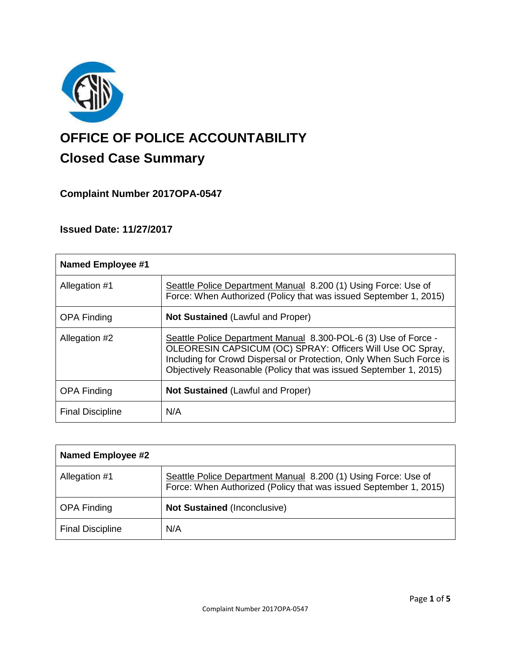

# **OFFICE OF POLICE ACCOUNTABILITY**

# **Closed Case Summary**

## **Complaint Number 2017OPA-0547**

## **Issued Date: 11/27/2017**

| <b>Named Employee #1</b> |                                                                                                                                                                                                                                                                            |
|--------------------------|----------------------------------------------------------------------------------------------------------------------------------------------------------------------------------------------------------------------------------------------------------------------------|
| Allegation #1            | Seattle Police Department Manual 8.200 (1) Using Force: Use of<br>Force: When Authorized (Policy that was issued September 1, 2015)                                                                                                                                        |
| <b>OPA Finding</b>       | <b>Not Sustained (Lawful and Proper)</b>                                                                                                                                                                                                                                   |
| Allegation #2            | Seattle Police Department Manual 8.300-POL-6 (3) Use of Force -<br>OLEORESIN CAPSICUM (OC) SPRAY: Officers Will Use OC Spray,<br>Including for Crowd Dispersal or Protection, Only When Such Force is<br>Objectively Reasonable (Policy that was issued September 1, 2015) |
| <b>OPA Finding</b>       | Not Sustained (Lawful and Proper)                                                                                                                                                                                                                                          |
| <b>Final Discipline</b>  | N/A                                                                                                                                                                                                                                                                        |

| <b>Named Employee #2</b> |                                                                                                                                     |
|--------------------------|-------------------------------------------------------------------------------------------------------------------------------------|
| Allegation #1            | Seattle Police Department Manual 8.200 (1) Using Force: Use of<br>Force: When Authorized (Policy that was issued September 1, 2015) |
| <b>OPA Finding</b>       | <b>Not Sustained (Inconclusive)</b>                                                                                                 |
| <b>Final Discipline</b>  | N/A                                                                                                                                 |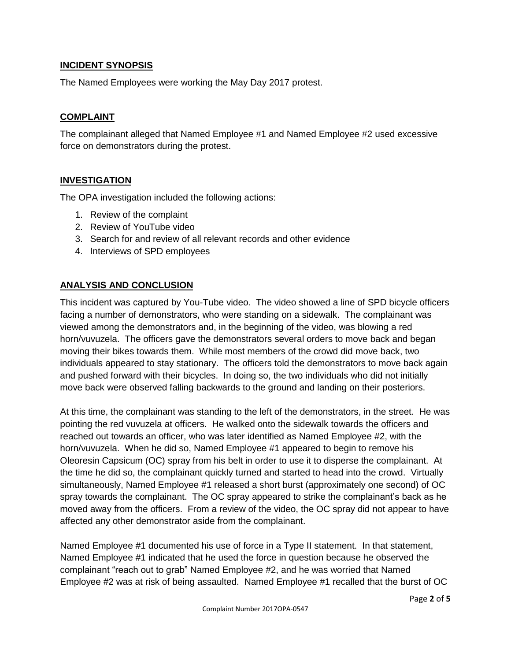#### **INCIDENT SYNOPSIS**

The Named Employees were working the May Day 2017 protest.

#### **COMPLAINT**

The complainant alleged that Named Employee #1 and Named Employee #2 used excessive force on demonstrators during the protest.

#### **INVESTIGATION**

The OPA investigation included the following actions:

- 1. Review of the complaint
- 2. Review of YouTube video
- 3. Search for and review of all relevant records and other evidence
- 4. Interviews of SPD employees

#### **ANALYSIS AND CONCLUSION**

This incident was captured by You-Tube video. The video showed a line of SPD bicycle officers facing a number of demonstrators, who were standing on a sidewalk. The complainant was viewed among the demonstrators and, in the beginning of the video, was blowing a red horn/vuvuzela. The officers gave the demonstrators several orders to move back and began moving their bikes towards them. While most members of the crowd did move back, two individuals appeared to stay stationary. The officers told the demonstrators to move back again and pushed forward with their bicycles. In doing so, the two individuals who did not initially move back were observed falling backwards to the ground and landing on their posteriors.

At this time, the complainant was standing to the left of the demonstrators, in the street. He was pointing the red vuvuzela at officers. He walked onto the sidewalk towards the officers and reached out towards an officer, who was later identified as Named Employee #2, with the horn/vuvuzela. When he did so, Named Employee #1 appeared to begin to remove his Oleoresin Capsicum (OC) spray from his belt in order to use it to disperse the complainant. At the time he did so, the complainant quickly turned and started to head into the crowd. Virtually simultaneously, Named Employee #1 released a short burst (approximately one second) of OC spray towards the complainant. The OC spray appeared to strike the complainant's back as he moved away from the officers. From a review of the video, the OC spray did not appear to have affected any other demonstrator aside from the complainant.

Named Employee #1 documented his use of force in a Type II statement. In that statement, Named Employee #1 indicated that he used the force in question because he observed the complainant "reach out to grab" Named Employee #2, and he was worried that Named Employee #2 was at risk of being assaulted. Named Employee #1 recalled that the burst of OC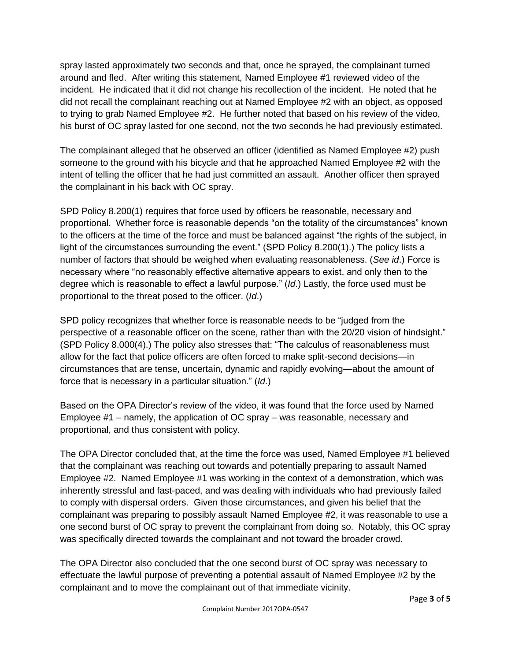spray lasted approximately two seconds and that, once he sprayed, the complainant turned around and fled. After writing this statement, Named Employee #1 reviewed video of the incident. He indicated that it did not change his recollection of the incident. He noted that he did not recall the complainant reaching out at Named Employee #2 with an object, as opposed to trying to grab Named Employee #2. He further noted that based on his review of the video, his burst of OC spray lasted for one second, not the two seconds he had previously estimated.

The complainant alleged that he observed an officer (identified as Named Employee #2) push someone to the ground with his bicycle and that he approached Named Employee #2 with the intent of telling the officer that he had just committed an assault. Another officer then sprayed the complainant in his back with OC spray.

SPD Policy 8.200(1) requires that force used by officers be reasonable, necessary and proportional. Whether force is reasonable depends "on the totality of the circumstances" known to the officers at the time of the force and must be balanced against "the rights of the subject, in light of the circumstances surrounding the event." (SPD Policy 8.200(1).) The policy lists a number of factors that should be weighed when evaluating reasonableness. (*See id*.) Force is necessary where "no reasonably effective alternative appears to exist, and only then to the degree which is reasonable to effect a lawful purpose." (*Id*.) Lastly, the force used must be proportional to the threat posed to the officer. (*Id*.)

SPD policy recognizes that whether force is reasonable needs to be "judged from the perspective of a reasonable officer on the scene, rather than with the 20/20 vision of hindsight." (SPD Policy 8.000(4).) The policy also stresses that: "The calculus of reasonableness must allow for the fact that police officers are often forced to make split-second decisions—in circumstances that are tense, uncertain, dynamic and rapidly evolving—about the amount of force that is necessary in a particular situation." (*Id*.)

Based on the OPA Director's review of the video, it was found that the force used by Named Employee #1 – namely, the application of OC spray – was reasonable, necessary and proportional, and thus consistent with policy.

The OPA Director concluded that, at the time the force was used, Named Employee #1 believed that the complainant was reaching out towards and potentially preparing to assault Named Employee #2. Named Employee #1 was working in the context of a demonstration, which was inherently stressful and fast-paced, and was dealing with individuals who had previously failed to comply with dispersal orders. Given those circumstances, and given his belief that the complainant was preparing to possibly assault Named Employee #2, it was reasonable to use a one second burst of OC spray to prevent the complainant from doing so. Notably, this OC spray was specifically directed towards the complainant and not toward the broader crowd.

The OPA Director also concluded that the one second burst of OC spray was necessary to effectuate the lawful purpose of preventing a potential assault of Named Employee #2 by the complainant and to move the complainant out of that immediate vicinity.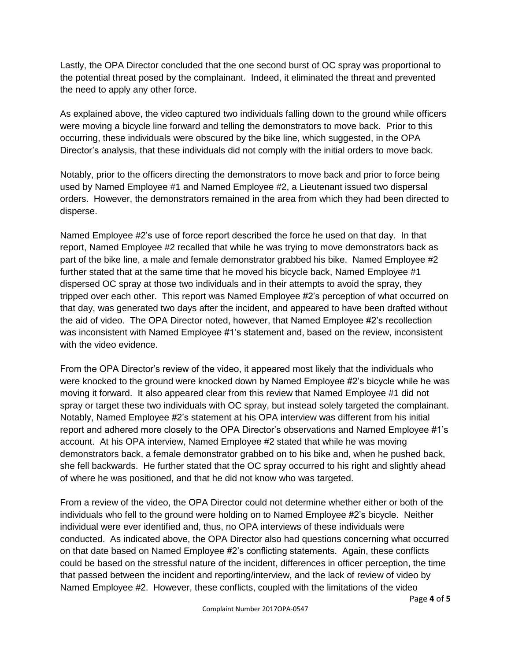Lastly, the OPA Director concluded that the one second burst of OC spray was proportional to the potential threat posed by the complainant. Indeed, it eliminated the threat and prevented the need to apply any other force.

As explained above, the video captured two individuals falling down to the ground while officers were moving a bicycle line forward and telling the demonstrators to move back. Prior to this occurring, these individuals were obscured by the bike line, which suggested, in the OPA Director's analysis, that these individuals did not comply with the initial orders to move back.

Notably, prior to the officers directing the demonstrators to move back and prior to force being used by Named Employee #1 and Named Employee #2, a Lieutenant issued two dispersal orders. However, the demonstrators remained in the area from which they had been directed to disperse.

Named Employee #2's use of force report described the force he used on that day. In that report, Named Employee #2 recalled that while he was trying to move demonstrators back as part of the bike line, a male and female demonstrator grabbed his bike. Named Employee #2 further stated that at the same time that he moved his bicycle back, Named Employee #1 dispersed OC spray at those two individuals and in their attempts to avoid the spray, they tripped over each other. This report was Named Employee #2's perception of what occurred on that day, was generated two days after the incident, and appeared to have been drafted without the aid of video. The OPA Director noted, however, that Named Employee #2's recollection was inconsistent with Named Employee #1's statement and, based on the review, inconsistent with the video evidence.

From the OPA Director's review of the video, it appeared most likely that the individuals who were knocked to the ground were knocked down by Named Employee #2's bicycle while he was moving it forward. It also appeared clear from this review that Named Employee #1 did not spray or target these two individuals with OC spray, but instead solely targeted the complainant. Notably, Named Employee #2's statement at his OPA interview was different from his initial report and adhered more closely to the OPA Director's observations and Named Employee #1's account. At his OPA interview, Named Employee #2 stated that while he was moving demonstrators back, a female demonstrator grabbed on to his bike and, when he pushed back, she fell backwards. He further stated that the OC spray occurred to his right and slightly ahead of where he was positioned, and that he did not know who was targeted.

From a review of the video, the OPA Director could not determine whether either or both of the individuals who fell to the ground were holding on to Named Employee #2's bicycle. Neither individual were ever identified and, thus, no OPA interviews of these individuals were conducted. As indicated above, the OPA Director also had questions concerning what occurred on that date based on Named Employee #2's conflicting statements. Again, these conflicts could be based on the stressful nature of the incident, differences in officer perception, the time that passed between the incident and reporting/interview, and the lack of review of video by Named Employee #2. However, these conflicts, coupled with the limitations of the video